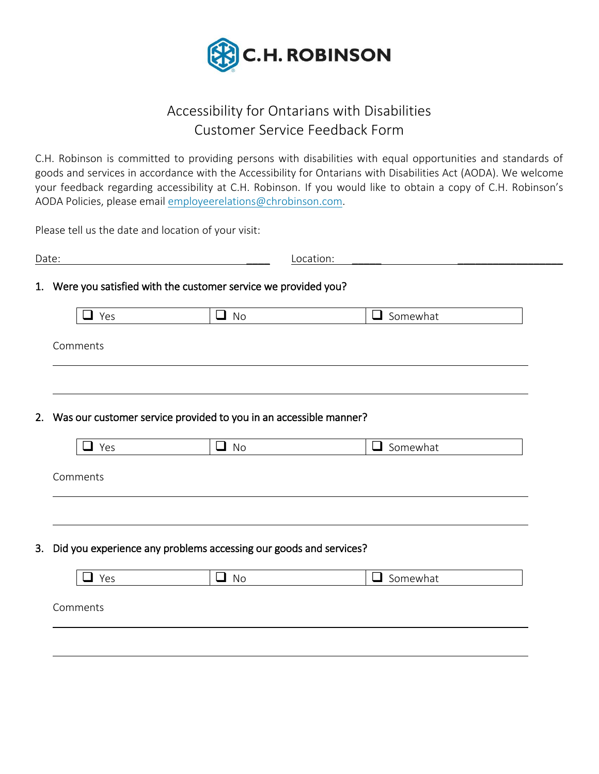

## Accessibility for Ontarians with Disabilities Customer Service Feedback Form

C.H. Robinson is committed to providing persons with disabilities with equal opportunities and standards of goods and services in accordance with the Accessibility for Ontarians with Disabilities Act (AODA). We welcome your feedback regarding accessibility at C.H. Robinson. If you would like to obtain a copy of C.H. Robinson's AODA Policies, please email [employeerelations@chrobinson.com.](mailto:employeerelations@chrobinson.com)

Please tell us the date and location of your visit:

| Date: |                                                                      |           | Location:       |  |
|-------|----------------------------------------------------------------------|-----------|-----------------|--|
|       | 1. Were you satisfied with the customer service we provided you?     |           |                 |  |
|       | $\overline{\phantom{a}}$<br>l Yes                                    | $\Box$ No | $\Box$ Somewhat |  |
|       | Comments                                                             |           |                 |  |
|       |                                                                      |           |                 |  |
|       |                                                                      |           |                 |  |
|       | 2. Was our customer service provided to you in an accessible manner? |           |                 |  |
|       | $\Box$ Yes                                                           | $\Box$ No | $\Box$ Somewhat |  |
|       | Comments                                                             |           |                 |  |
|       |                                                                      |           |                 |  |
|       |                                                                      |           |                 |  |
| 3.    | Did you experience any problems accessing our goods and services?    |           |                 |  |
|       | $\blacksquare$ Yes                                                   | $\Box$ No | $\Box$ Somewhat |  |
|       | Comments                                                             |           |                 |  |
|       |                                                                      |           |                 |  |
|       |                                                                      |           |                 |  |